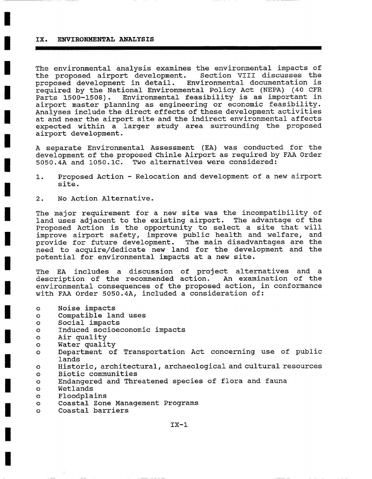#### **IX. ENVIRONMENTAL ANALYSIS**

The environmental analysis examines the environmental impacts of the proposed airport development. Section VIII discusses the proposed development in detail. Environmental documentation is required by the National Environmental Policy Act (NEPA) (40 CFR Parts 1500-1508). Environmental feasibility is as important in airport master planning as engineering or economic feasibility. Analyses include the direct effects of these development activities at and near the airport site and the indirect environmental affects expected within a larger study area surrounding the proposed airport development.

A separate Environmental Assessment (EA) was conducted for the development of the proposed Chinle Airport as required by FAA Order 5050.4A and I050.IC. Two alternatives were considered:

- I. Proposed Action Relocation and development of a new airport site.
- 2. No Action Alternative.

The major requirement for a new site was the incompatibility of land uses adjacent to the existing airport. The advantage of the Proposed Action is the opportunity to select a site that will improve airport safety, improve public health and welfare, and provide for future development. The main disadvantages are the need to acquire/dedicate new land for the development and the potential for environmental impacts at a new site.

The EA includes a discussion of project alternatives and a description of the recommended action. An examination of the environmental consequences of the proposed action, in conformance with FAA Order 5050.4A, included a consideration of:

- o Noise impacts
- o Compatible land uses
- o Social impacts
- o Induced socioeconomic impacts
- o Air quality
- o Water quality
- o Department of Transportation Act concerning use of public lands
- o Historic, architectural, archaeological and cultural resources
- o Biotic communities
- o Endangered and Threatened species of flora and fauna
- o Wetlands
- o Floodplains
- o Coastal Zone Management Programs
- o Coastal barriers

 $IX-1$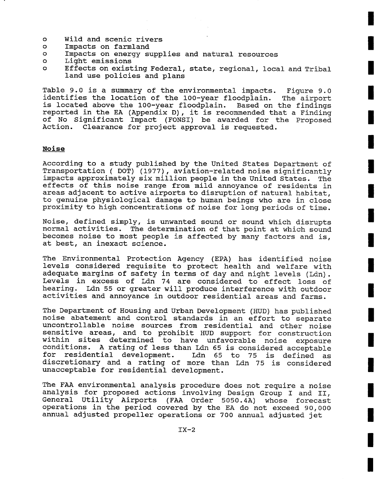- o Wild and scenic rivers
- o Impacts on farmland
- o Impacts on energy supplies and natural resources
- o Light emissions
- o Effects on existing Federal, state, regional, local and Tribal land use policies and plans

Table 9.0 is a summary of the environmental impacts. Figure 9.0 identifies the location of the 100-year floodplain. The airport is located above the 100-year floodplain. Based on the findings reported in the EA (Appendix D), it is recommended that a Finding of No Significant Impact (FONSI) be awarded for the Proposed Action. Clearance for project approval is requested.

### **Noise**

According to a study published by the United States Department of Transportation (DOT) (1977), aviation-related noise significantly impacts approximately six million people in the United States. The effects of this noise range from mild annoyance of residents in areas adjacent to active airports to disruption of natural habitat, to genuine physiological damage to human beings who are in close proximity to high concentrations of noise for long periods of time.

Noise, defined simply, is unwanted sound or sound which disrupts normal activities. The determination of that point at which sound becomes noise to most people is affected by many factors and is, at best, an inexact science.

The Environmental Protection Agency (EPA) has identified noise levels considered requisite to protect health and welfare with adequate margins of safety in terms of day and night levels (Ldn). Levels in excess of Ldn 74 are considered to effect loss of hearing. Ldn 55 or greater will produce interference with outdoor activities and annoyance in outdoor residential areas and farms.

The Department of Housing and Urban Development (HUD) has published noise abatement and control standards in an effort to separate uncontrollable noise sources from residential and other noise sensitive areas, and to prohibit HUD support for construction within sites determined to have unfavorable noise exposure conditions. A rating of less than Ldn 65 is considered acceptable for residential development. Ldn 65 to 75 is defined as discretionary and a rating of more than Ldn 75 is considered unacceptable for residential development.

The FAA environmental analysis procedure does not require a noise analysis for proposed actions involving Design Group I and II, General Utility Airports (FAA Order 5050.4A) whose forecast operations in the period covered by the EA do not exceed 90,000 annual adjusted propeller operations or 700 annual adjusted jet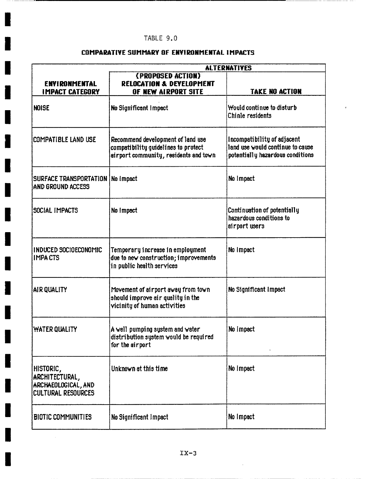### TABLE 9.0

H

H

П

H

R

H

I

Г

H

П

H

П

I

## **COMPARATIVE SUMMARY OF ENVIRONMENTAL IMPACTS**

|                                                                                 | <b>ALTERNATIYES</b>                                                                                               |                                                                                                     |  |
|---------------------------------------------------------------------------------|-------------------------------------------------------------------------------------------------------------------|-----------------------------------------------------------------------------------------------------|--|
| <b>ENYIRONMENTAL</b><br><b>IMPACT CATEGORY</b>                                  | (PROPOSED ACTION)<br><b>RELOCATION &amp; DEYELOPMENT</b><br>OF NEW AIRPORT SITE                                   | <b>TAKE NO ACTION</b>                                                                               |  |
| <b>NOISE</b>                                                                    | No Significant Impact                                                                                             | Would continue to disturb<br>Chinle residents                                                       |  |
| <b>COMPATIBLE LAND USE</b>                                                      | Recommend development of land use<br>compatibility guidelines to protect<br>airport community, residents and town | Incompatibility of adjacent<br>land use would continue to cause<br>potentially hazardous conditions |  |
| SURFACE TRANSPORTATION<br>AND GROUND ACCESS                                     | No Impact                                                                                                         | No Impact                                                                                           |  |
| SOCIAL IMPACTS                                                                  | No Impact                                                                                                         | Continuation of potentially<br>hazardous conditions to<br>airport users                             |  |
| INDUCED SOCIOECONOMIC<br><b>IMPACTS</b>                                         | Temporary increase in employment<br>due to new construction; improvements<br>in public health services            | No Impact                                                                                           |  |
| AIR QUALITY                                                                     | Movement of airport away from town<br>should improve air quality in the<br>vicinity of human activities           | No Significant Impact                                                                               |  |
| <b>WATER QUALITY</b>                                                            | A well pumping system and water<br>distribution system would be required<br>for the airport                       | No Impact                                                                                           |  |
| HISTORIC,<br>ARCHITECTURAL,<br>ARCHAEOLOGICAL, AND<br><b>CULTURAL RESOURCES</b> | Unknown at this time                                                                                              | No Impact                                                                                           |  |
| BIOTIC COMMUNITIES                                                              | No Significant Impact                                                                                             | No Impact                                                                                           |  |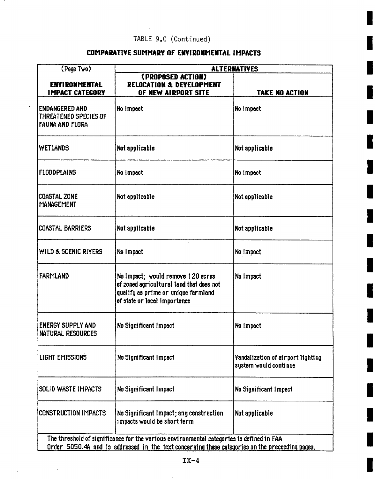### TABLE 9.0 (Continued)

## **COMPARATIVE SUMMARY OF ENVIRONMENTAL IMPACTS**

| (Page Two)                                                                                                                                                                                  | <b>ALTERNATIYES</b>                                                                                                                                  |                                                            |  |
|---------------------------------------------------------------------------------------------------------------------------------------------------------------------------------------------|------------------------------------------------------------------------------------------------------------------------------------------------------|------------------------------------------------------------|--|
| ENYIRONMENTAL<br><b>IMPACT CATEGORY</b>                                                                                                                                                     | (PROPOSED ACTION)<br><b>RELOCATION &amp; DEYELOPMENT</b><br>OF NEW AIRPORT SITE                                                                      | <b>TAKE NO ACTION</b>                                      |  |
| <b>ENDANGERED AND</b><br>THREATENED SPECIES OF<br><b>FAUNA AND FLORA</b>                                                                                                                    | No Impact                                                                                                                                            | No Impact                                                  |  |
| <b>WETLANDS</b>                                                                                                                                                                             | Not applicable                                                                                                                                       | Not applicable                                             |  |
| <b>FLOODPLAINS</b>                                                                                                                                                                          | No Impact                                                                                                                                            | No Impact                                                  |  |
| <b>COASTAL ZONE</b><br>MANAGEMENT                                                                                                                                                           | Not applicable                                                                                                                                       | Not applicable                                             |  |
| <b>COASTAL BARRIERS</b>                                                                                                                                                                     | Not applicable                                                                                                                                       | Not applicable                                             |  |
| WILD & SCENIC RIVERS                                                                                                                                                                        | No Impact                                                                                                                                            | No Impact                                                  |  |
| FARMLAND                                                                                                                                                                                    | No Impact; would remove 120 acres<br>of zoned agricultural land that does not<br>qualify as prime or unique farmland<br>of state or local importance | No Impact                                                  |  |
| <b>ENERGY SUPPLY AND</b><br>NATURAL RESOURCES                                                                                                                                               | No Significant Impact                                                                                                                                | No Impact                                                  |  |
| LIGHT EMISSIONS                                                                                                                                                                             | No Significant Impact                                                                                                                                | Yandalization of airport lighting<br>system would continue |  |
| SOLID WASTE IMPACTS                                                                                                                                                                         | No Significant Impact                                                                                                                                | No Significant Impact                                      |  |
| <b>CONSTRUCTION IMPACTS</b>                                                                                                                                                                 | No Significant Impact; any construction<br>impacts would be short term                                                                               | Not applicable                                             |  |
| The threshold of significance for the various environmental categories is defined in FAA<br>Order 5050.4A and is addressed in the text concerning these categories on the preceeding pages. |                                                                                                                                                      |                                                            |  |

 $\bar{z}$ 

 $\pmb{\epsilon}$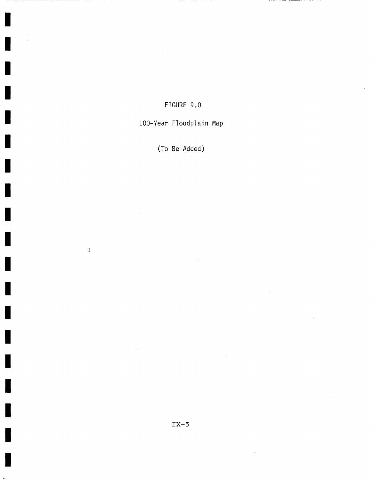# FIGURE 9.0

100-Year Floodplain Map

(To Be Added)

 $\bar{\Delta}$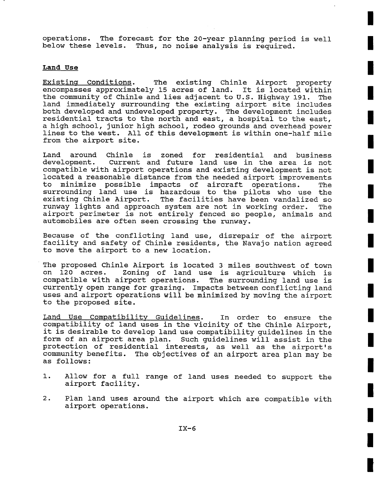operations. The forecast for the 20-year planning period is well below these levels. Thus, no noise analysis is required.

#### **Land Use**

Existinq Conditions. The existing Chinle Airport property encompasses approximately 15 acres of land. It is located within the community of Chinle and lies adjacent to U.S. Highway 191. The land immediately surrounding the existing airport site includes both developed and undeveloped property. The development includes residential tracts to the north and east, a hospital to the east, a high school, junior high school, rodeo grounds and overhead power lines to the west. All of this development is within one-half mile from the airport site.

Land around Chinle is zoned for residential and business development. Current and future land use in the area is not compatible with airport operations and existing development is not located a reasonable distance from the needed airport improvements to minimize possible impacts of aircraft operations. The surrounding land use is hazardous to the pilots who use the existing Chinle Airport. The facilities have been vandalized so runway lights and approach system are not in working order. The airport perimeter is not entirely fenced so people, animals and automobiles are often seen crossing the runway.

Because of the conflicting land use, disrepair of the airport facility and safety of Chinle residents, the Navajo nation agreed to move the airport to a new location.

The proposed Chinle Airport is located 3 miles southwest of town on 120 acres. Zoning of land use is agriculture which is compatible with airport operations. The surrounding land use is currently open range for grazing. Impacts between conflicting land uses and airport operations will be minimized by moving the airport to the proposed site.

Land Use Compatibility Guidelines. In order to ensure the compatibility of land uses in the vicinity of the Chinle Airport, it is desirable to develop land use compatibility guidelines in the form of an airport area plan. Such guidelines will assist in the protection of residential interests, as well as the airport's community benefits. The objectives of an airport area plan may be as follows:

- i. Allow for a full range of land uses needed to support the airport facility.
- . Plan land uses around the airport which are compatible with airport operations.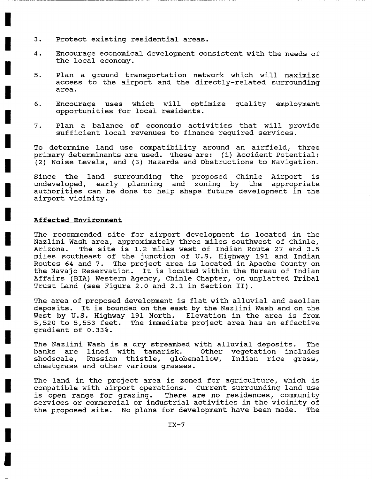- 3. Protect existing residential areas.
- **.** Encourage economical development consistent with the needs of the local economy.
- . Plan a ground transportation network which will maximize access to the airport and the directly-related surrounding area.
- 6. Encourage uses which will optimize quality employment opportunities for local residents.
- . Plan a balance of economic activities that will provide sufficient local revenues to finance required services.

To determine land use compatibility around an airfield, three primary determinants are used. These are: (i) Accident Potential; (2) Noise Levels, and (3) Hazards and Obstructions to Navigation.

Since the land surrounding the proposed Chinle Airport is undeveloped, early planning and zoning by the appropriate authorities can be done to help shape future development in the airport vicinity.

### **Affected Environment**

The recommended site for airport development is located in the Nazlini Wash area, approximately three miles southwest of Chinle, Arizona. The site is 1.2 miles west of Indian Route 27 and 3.5 miles southeast of the junction of U.S. Highway 191 and Indian Routes 64 and 7. The project area is located in Apache County on the Navajo Reservation. It is located within the Bureau of Indian Affairs (BIA) Western Agency, Chinle Chapter, on unplatted Tribal Trust Land (see Figure 2.0 and 2.1 in Section II).

The area of proposed development is flat with alluvial and aeolian deposits. It is bounded on the east by the Nazlini Wash and on the West by U.S. Highway 191 North. Elevation in the area is from 5,520 to 5,553 feet. The immediate project area has an effective gradient of 0.33%.

The Nazlini Wash is a dry streambed with alluvial deposits. The banks are lined with tamarisk. Other vegetation includes shodscale, Russian thistle, globemallow, Indian rice grass, cheatgrass and other various grasses.

The land in the project area is zoned for agriculture, which is compatible with airport operations. Current surrounding land use is open range for grazing. There are no residences, community services or commercial or industrial activities in the vicinity of the proposed site. No plans for development have been made. The